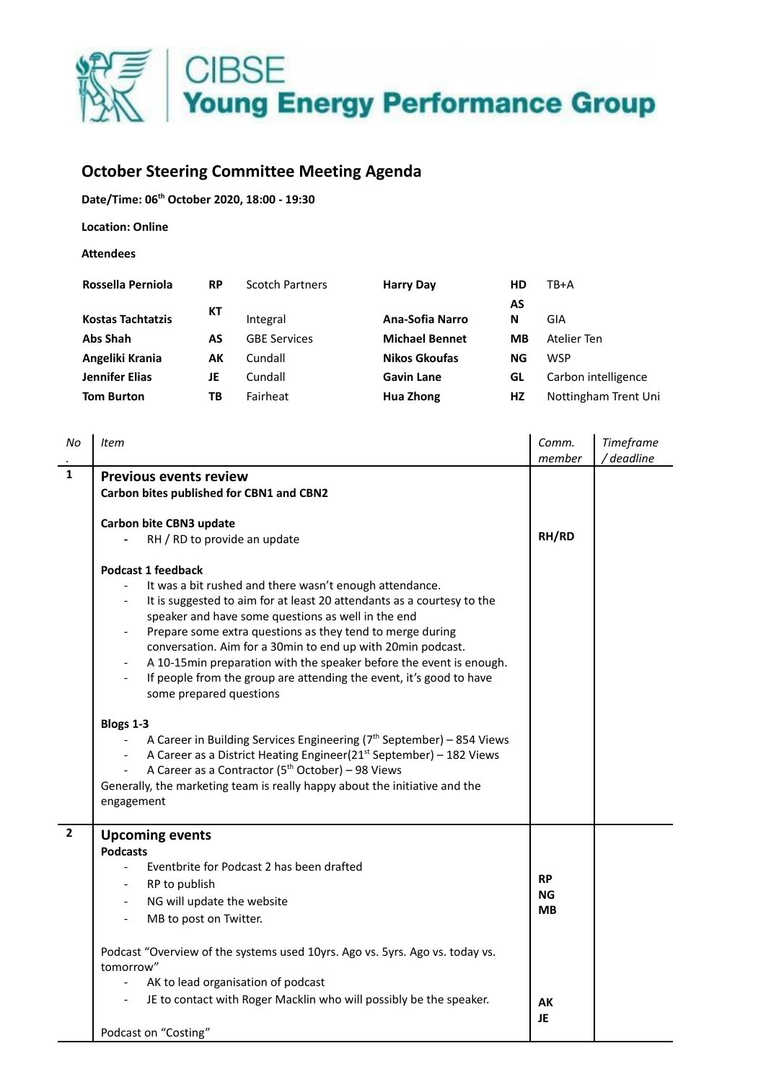

## **October Steering Committee Meeting Agenda**

**Date/Time: 06 th October 2020, 18:00 - 19:30**

**Location: Online**

**Attendees**

| Rossella Perniola        | <b>RP</b> | <b>Scotch Partners</b> | <b>Harry Day</b>      | НD | TB+A                 |
|--------------------------|-----------|------------------------|-----------------------|----|----------------------|
|                          | КT        |                        |                       | AS |                      |
| <b>Kostas Tachtatzis</b> |           | Integral               | Ana-Sofia Narro       | N  | GIA                  |
| <b>Abs Shah</b>          | AS        | <b>GBE Services</b>    | <b>Michael Bennet</b> | MВ | Atelier Ten          |
| Angeliki Krania          | АΚ        | Cundall                | Nikos Gkoufas         | ΝG | WSP                  |
| <b>Jennifer Elias</b>    | JE        | Cundall                | <b>Gavin Lane</b>     | GL | Carbon intelligence  |
| <b>Tom Burton</b>        | ТB        | Fairheat               | Hua Zhong             | HZ | Nottingham Trent Uni |
|                          |           |                        |                       |    |                      |

| No           | Item                                                                                                                                                                                                                                                                                                                                                                                                                                                                                                                                                                                                                                                                                                                                                                                                                                                                                                                       | Comm.<br>member                          | Timeframe<br>deadline |
|--------------|----------------------------------------------------------------------------------------------------------------------------------------------------------------------------------------------------------------------------------------------------------------------------------------------------------------------------------------------------------------------------------------------------------------------------------------------------------------------------------------------------------------------------------------------------------------------------------------------------------------------------------------------------------------------------------------------------------------------------------------------------------------------------------------------------------------------------------------------------------------------------------------------------------------------------|------------------------------------------|-----------------------|
| $\mathbf{1}$ | <b>Previous events review</b>                                                                                                                                                                                                                                                                                                                                                                                                                                                                                                                                                                                                                                                                                                                                                                                                                                                                                              |                                          |                       |
|              | Carbon bites published for CBN1 and CBN2                                                                                                                                                                                                                                                                                                                                                                                                                                                                                                                                                                                                                                                                                                                                                                                                                                                                                   |                                          |                       |
|              | Carbon bite CBN3 update<br>RH / RD to provide an update                                                                                                                                                                                                                                                                                                                                                                                                                                                                                                                                                                                                                                                                                                                                                                                                                                                                    |                                          |                       |
|              | <b>Podcast 1 feedback</b><br>It was a bit rushed and there wasn't enough attendance.<br>It is suggested to aim for at least 20 attendants as a courtesy to the<br>speaker and have some questions as well in the end<br>Prepare some extra questions as they tend to merge during<br>conversation. Aim for a 30min to end up with 20min podcast.<br>A 10-15min preparation with the speaker before the event is enough.<br>$\overline{\phantom{a}}$<br>If people from the group are attending the event, it's good to have<br>$\overline{\phantom{a}}$<br>some prepared questions<br>Blogs 1-3<br>A Career in Building Services Engineering ( $7th$ September) – 854 Views<br>A Career as a District Heating Engineer(21 <sup>st</sup> September) - 182 Views<br>A Career as a Contractor (5 <sup>th</sup> October) - 98 Views<br>Generally, the marketing team is really happy about the initiative and the<br>engagement |                                          |                       |
| $\mathbf{2}$ | <b>Upcoming events</b><br><b>Podcasts</b><br>Eventbrite for Podcast 2 has been drafted<br>$\overline{\phantom{0}}$<br>RP to publish<br>NG will update the website<br>MB to post on Twitter.<br>$\overline{\phantom{a}}$<br>Podcast "Overview of the systems used 10yrs. Ago vs. 5yrs. Ago vs. today vs.<br>tomorrow"<br>AK to lead organisation of podcast<br>JE to contact with Roger Macklin who will possibly be the speaker.                                                                                                                                                                                                                                                                                                                                                                                                                                                                                           | <b>RP</b><br>ΝG<br><b>MB</b><br>АK<br>JE |                       |
|              | Podcast on "Costing"                                                                                                                                                                                                                                                                                                                                                                                                                                                                                                                                                                                                                                                                                                                                                                                                                                                                                                       |                                          |                       |